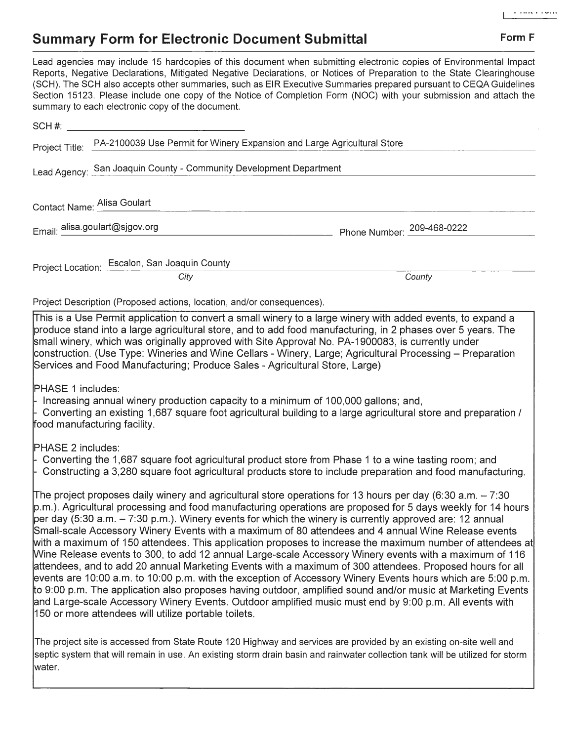## **Summary Form for Electronic Document Submittal Form F Form F**

Lead agencies may include 15 hardcopies of this document when submitting electronic copies of Environmental Impact Reports, Negative Declarations, Mitigated Negative Declarations, or Notices of Preparation to the State Clearinghouse (SCH). The SCH also accepts other summaries, such as EIR Executive Summaries prepared pursuant to CEQA Guidelines Section 15123. Please include one copy of the Notice of Completion Form (NOC) with your submission and attach the summary to each electronic copy of the document.  $\mathsf{SCH}$  #:  $\blacksquare$ 

| Project Title:                                                                                                                                                                                                                                                                                                                                                                                                                                                                                                                                                                                                                                                                                                                                                                                                                                                                                                                                                                                                                                                                                                                                                                       | PA-2100039 Use Permit for Winery Expansion and Large Agricultural Store                                                                                                                                                                              |                            |
|--------------------------------------------------------------------------------------------------------------------------------------------------------------------------------------------------------------------------------------------------------------------------------------------------------------------------------------------------------------------------------------------------------------------------------------------------------------------------------------------------------------------------------------------------------------------------------------------------------------------------------------------------------------------------------------------------------------------------------------------------------------------------------------------------------------------------------------------------------------------------------------------------------------------------------------------------------------------------------------------------------------------------------------------------------------------------------------------------------------------------------------------------------------------------------------|------------------------------------------------------------------------------------------------------------------------------------------------------------------------------------------------------------------------------------------------------|----------------------------|
| Lead Agency: San Joaquin County - Community Development Department                                                                                                                                                                                                                                                                                                                                                                                                                                                                                                                                                                                                                                                                                                                                                                                                                                                                                                                                                                                                                                                                                                                   |                                                                                                                                                                                                                                                      |                            |
| Contact Name: Alisa Goulart                                                                                                                                                                                                                                                                                                                                                                                                                                                                                                                                                                                                                                                                                                                                                                                                                                                                                                                                                                                                                                                                                                                                                          |                                                                                                                                                                                                                                                      |                            |
|                                                                                                                                                                                                                                                                                                                                                                                                                                                                                                                                                                                                                                                                                                                                                                                                                                                                                                                                                                                                                                                                                                                                                                                      | Email: alisa.goulart@sjgov.org                                                                                                                                                                                                                       | Phone Number: 209-468-0222 |
|                                                                                                                                                                                                                                                                                                                                                                                                                                                                                                                                                                                                                                                                                                                                                                                                                                                                                                                                                                                                                                                                                                                                                                                      | Project Location: Escalon, San Joaquin County<br>City                                                                                                                                                                                                | County                     |
|                                                                                                                                                                                                                                                                                                                                                                                                                                                                                                                                                                                                                                                                                                                                                                                                                                                                                                                                                                                                                                                                                                                                                                                      | Project Description (Proposed actions, location, and/or consequences).                                                                                                                                                                               |                            |
| $\Pi$ his is a Use Permit application to convert a small winery to a large winery with added events, to expand a<br>produce stand into a large agricultural store, and to add food manufacturing, in 2 phases over 5 years. The<br>small winery, which was originally approved with Site Approval No. PA-1900083, is currently under<br>construction. (Use Type: Wineries and Wine Cellars - Winery, Large; Agricultural Processing – Preparation<br>Services and Food Manufacturing; Produce Sales - Agricultural Store, Large)<br>PHASE 1 includes:                                                                                                                                                                                                                                                                                                                                                                                                                                                                                                                                                                                                                                |                                                                                                                                                                                                                                                      |                            |
| Increasing annual winery production capacity to a minimum of 100,000 gallons; and,<br>Converting an existing 1,687 square foot agricultural building to a large agricultural store and preparation /<br>food manufacturing facility.                                                                                                                                                                                                                                                                                                                                                                                                                                                                                                                                                                                                                                                                                                                                                                                                                                                                                                                                                 |                                                                                                                                                                                                                                                      |                            |
| PHASE 2 includes:<br>Converting the 1,687 square foot agricultural product store from Phase 1 to a wine tasting room; and<br>Constructing a 3,280 square foot agricultural products store to include preparation and food manufacturing.                                                                                                                                                                                                                                                                                                                                                                                                                                                                                                                                                                                                                                                                                                                                                                                                                                                                                                                                             |                                                                                                                                                                                                                                                      |                            |
| The project proposes daily winery and agricultural store operations for 13 hours per day (6:30 a.m. $-7:30$<br>p.m.). Agricultural processing and food manufacturing operations are proposed for 5 days weekly for 14 hours<br>per day (5:30 a.m. $-$ 7:30 p.m.). Winery events for which the winery is currently approved are: 12 annual<br>Small-scale Accessory Winery Events with a maximum of 80 attendees and 4 annual Wine Release events<br>[with a maximum of 150 attendees. This application proposes to increase the maximum number of attendees at<br>Wine Release events to 300, to add 12 annual Large-scale Accessory Winery events with a maximum of 116<br>attendees, and to add 20 annual Marketing Events with a maximum of 300 attendees. Proposed hours for all<br>events are 10:00 a.m. to 10:00 p.m. with the exception of Accessory Winery Events hours which are 5:00 p.m.<br>to 9:00 p.m. The application also proposes having outdoor, amplified sound and/or music at Marketing Events<br>and Large-scale Accessory Winery Events. Outdoor amplified music must end by 9:00 p.m. All events with<br>150 or more attendees will utilize portable toilets. |                                                                                                                                                                                                                                                      |                            |
| water.                                                                                                                                                                                                                                                                                                                                                                                                                                                                                                                                                                                                                                                                                                                                                                                                                                                                                                                                                                                                                                                                                                                                                                               | The project site is accessed from State Route 120 Highway and services are provided by an existing on-site well and<br>septic system that will remain in use. An existing storm drain basin and rainwater collection tank will be utilized for storm |                            |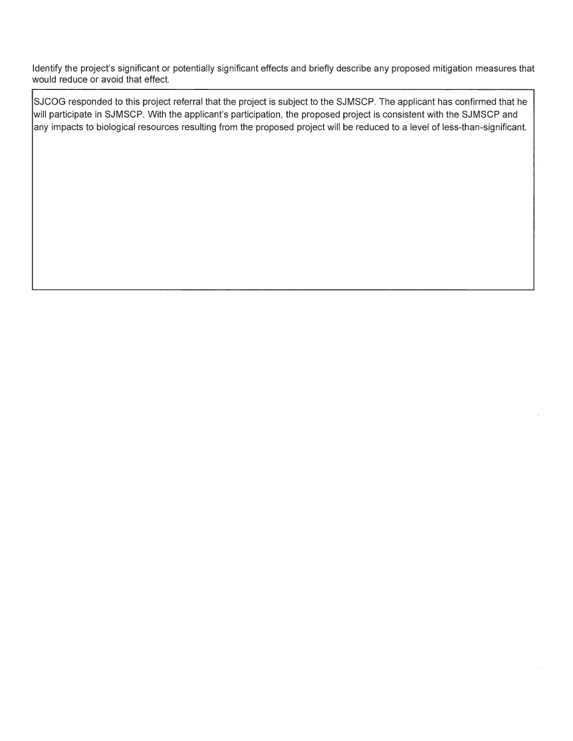Identify the project's significant or potentially significant effects and briefly describe any proposed mitigation measures that would reduce or avoid that effect.

SJCOG responded to this project referral that the project is subject to the SJMSCP. The applicant has confirmed that he will participate in SJMSCP. With the applicant's participation, the proposed project is consistent with the SJMSCP and any impacts to biological resources resulting from the proposed project will be reduced to a level of less-than-significant.